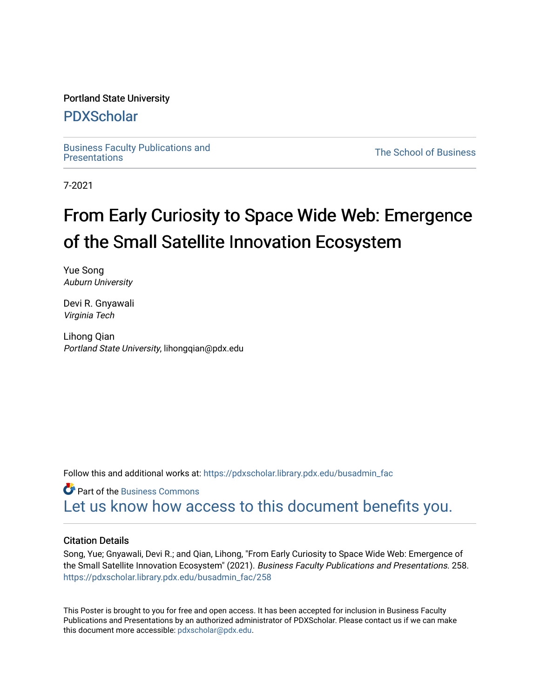### Portland State University

### [PDXScholar](https://pdxscholar.library.pdx.edu/)

[Business Faculty Publications and](https://pdxscholar.library.pdx.edu/busadmin_fac) 

**The School of Business** 

7-2021

## From Early Curiosity to Space Wide Web: Emergence of the Small Satellite Innovation Ecosystem

Yue Song Auburn University

Devi R. Gnyawali Virginia Tech

Lihong Qian Portland State University, lihongqian@pdx.edu

Follow this and additional works at: [https://pdxscholar.library.pdx.edu/busadmin\\_fac](https://pdxscholar.library.pdx.edu/busadmin_fac?utm_source=pdxscholar.library.pdx.edu%2Fbusadmin_fac%2F258&utm_medium=PDF&utm_campaign=PDFCoverPages) 

**C** Part of the [Business Commons](http://network.bepress.com/hgg/discipline/622?utm_source=pdxscholar.library.pdx.edu%2Fbusadmin_fac%2F258&utm_medium=PDF&utm_campaign=PDFCoverPages) [Let us know how access to this document benefits you.](http://library.pdx.edu/services/pdxscholar-services/pdxscholar-feedback/?ref=https://pdxscholar.library.pdx.edu/busadmin_fac/258) 

### Citation Details

Song, Yue; Gnyawali, Devi R.; and Qian, Lihong, "From Early Curiosity to Space Wide Web: Emergence of the Small Satellite Innovation Ecosystem" (2021). Business Faculty Publications and Presentations. 258. [https://pdxscholar.library.pdx.edu/busadmin\\_fac/258](https://pdxscholar.library.pdx.edu/busadmin_fac/258?utm_source=pdxscholar.library.pdx.edu%2Fbusadmin_fac%2F258&utm_medium=PDF&utm_campaign=PDFCoverPages) 

This Poster is brought to you for free and open access. It has been accepted for inclusion in Business Faculty Publications and Presentations by an authorized administrator of PDXScholar. Please contact us if we can make this document more accessible: [pdxscholar@pdx.edu.](mailto:pdxscholar@pdx.edu)